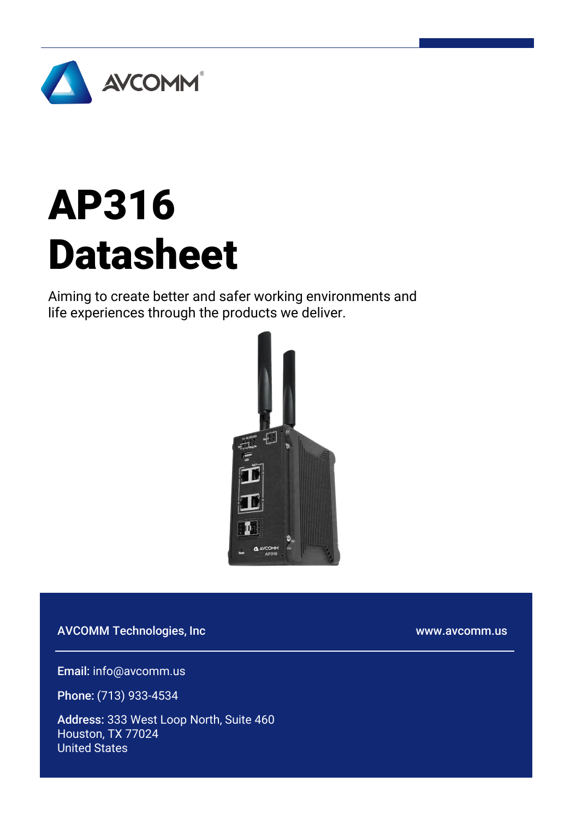

# AP316 Datasheet

Aiming to create better and safer working environments and life experiences through the products we deliver.



AVCOMM Technologies, Inc

www.avcomm.us

Email: info@avcomm.us

Phone: (713) 933-4534

Address: 333 West Loop North, Suite 460 Houston, TX 77024 United States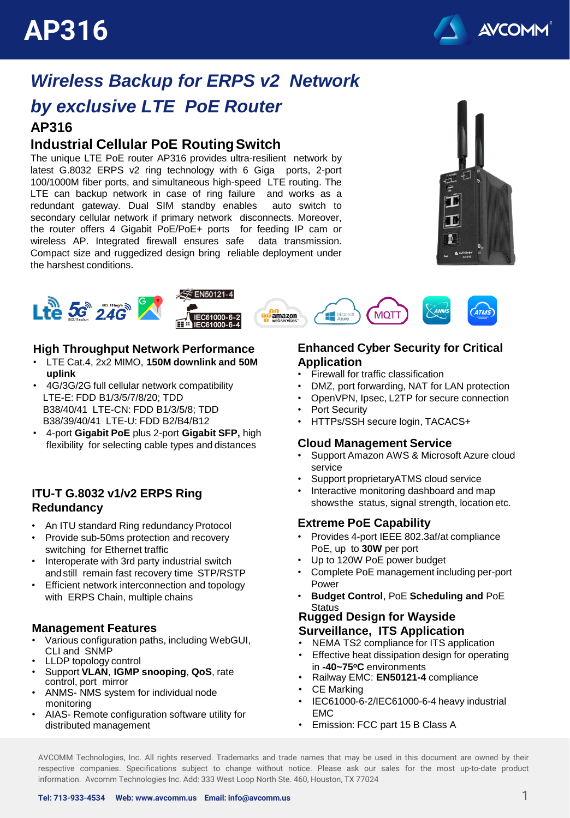

### **AP316** *Wireless Backup for ERPS v2 Network by exclusive LTE PoE Router*

### **Industrial Cellular PoE RoutingSwitch**

The unique LTE PoE router AP316 provides ultra-resilient network by latest G.8032 ERPS v2 ring technology with 6 Giga ports, 2-port 100/1000M fiber ports, and simultaneous high-speed LTE routing. The LTE can backup network in case of ring failure and works as a redundant gateway. Dual SIM standby enables auto switch to secondary cellular network if primary network disconnects. Moreover, the router offers 4 Gigabit PoE/PoE+ ports for feeding IP cam or wireless AP. Integrated firewall ensures safe data transmission. Compact size and ruggedized design bring reliable deployment under the harshest conditions.





#### **High Throughput Network Performance**

- LTE Cat.4, 2x2 MIMO, **150M downlink and 50M uplink**
- 4G/3G/2G full cellular network compatibility LTE-E: FDD B1/3/5/7/8/20; TDD B38/40/41 LTE-CN: FDD B1/3/5/8; TDD B38/39/40/41 LTE-U: FDD B2/B4/B12
- 4-port **Gigabit PoE** plus 2-port **Gigabit SFP,** high flexibility for selecting cable types and distances

#### **ITU-T G.8032 v1/v2 ERPS Ring Redundancy**

- An ITU standard Ring redundancy Protocol
- Provide sub-50ms protection and recovery switching for Ethernet traffic
- Interoperate with 3rd party industrial switch and still remain fast recovery time STP/RSTP
- Efficient network interconnection and topology with ERPS Chain, multiple chains

#### **Management Features**

- Various configuration paths, including WebGUI, CLI and SNMP
- LLDP topology control
- Support **VLAN**, **IGMP snooping**, **QoS**, rate control, port mirror
- ANMS- NMS system for individual node monitoring
- AIAS- Remote configuration software utility for distributed management

#### **Enhanced Cyber Security for Critical Application**

- Firewall for traffic classification
- DMZ, port forwarding, NAT for LAN protection
- OpenVPN, Ipsec, L2TP for secure connection
- Port Security
- HTTPs/SSH secure login, TACACS+

#### **Cloud Management Service**

- Support Amazon AWS & Microsoft Azure cloud service
- Support proprietaryATMS cloud service
- Interactive monitoring dashboard and map showsthe status, signal strength, location etc.

#### **Extreme PoE Capability**

- Provides 4-port IEEE 802.3af/at compliance PoE, up to **30W** per port
- Up to 120W PoE power budget
- Complete PoE management including per-port Power
- **Budget Control**, PoE **Scheduling and** PoE **Status**

#### **Rugged Design for Wayside Surveillance, ITS Application**

- NEMA TS2 compliance for ITS application
- Effective heat dissipation design for operating in **-40~75<sup>o</sup>C** environments
- Railway EMC: **EN50121-4** compliance
- CE Marking
- IEC61000-6-2/IEC61000-6-4 heavy industrial EMC
- Emission: FCC part 15 B Class A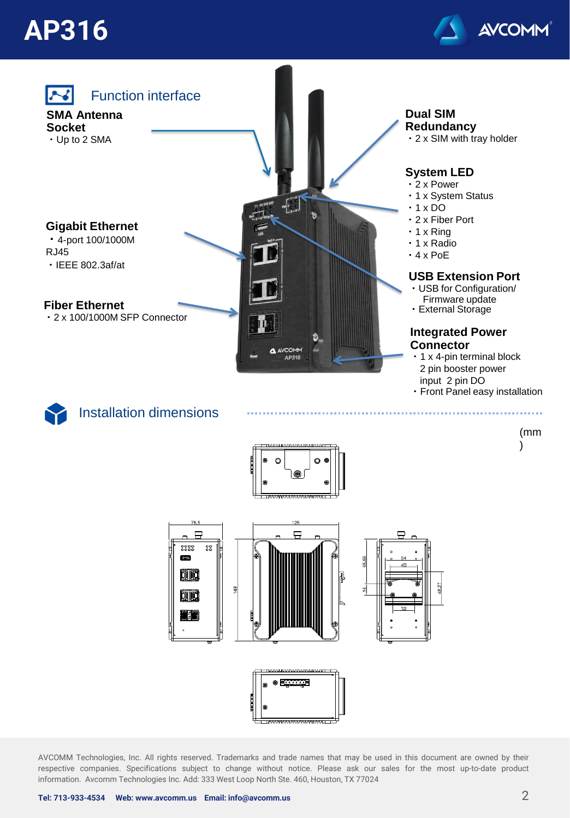

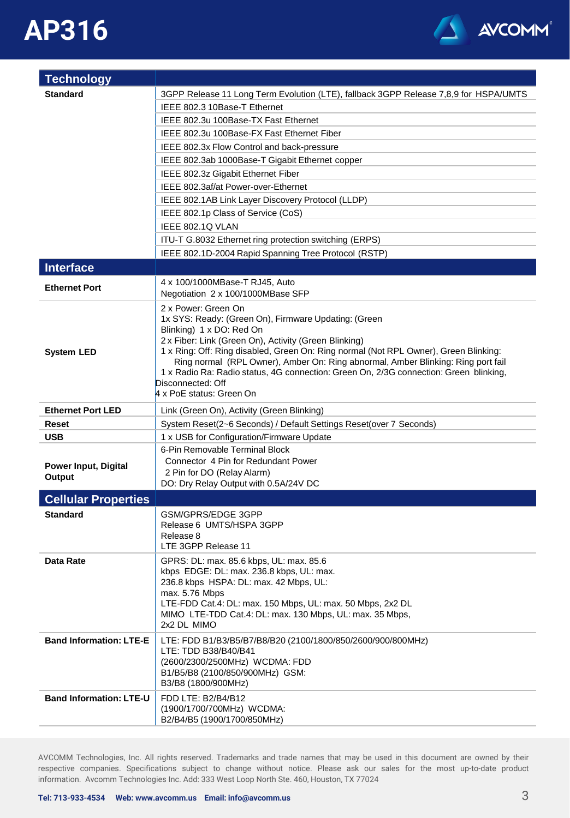

| <b>Technology</b>              |                                                                                                                                               |
|--------------------------------|-----------------------------------------------------------------------------------------------------------------------------------------------|
| <b>Standard</b>                | 3GPP Release 11 Long Term Evolution (LTE), fallback 3GPP Release 7,8,9 for HSPA/UMTS                                                          |
|                                | IEEE 802.3 10Base-T Ethernet                                                                                                                  |
|                                | IEEE 802.3u 100Base-TX Fast Ethernet                                                                                                          |
|                                | IEEE 802.3u 100Base-FX Fast Ethernet Fiber                                                                                                    |
|                                | IEEE 802.3x Flow Control and back-pressure                                                                                                    |
|                                | IEEE 802.3ab 1000Base-T Gigabit Ethernet copper                                                                                               |
|                                | IEEE 802.3z Gigabit Ethernet Fiber                                                                                                            |
|                                | IEEE 802.3af/at Power-over-Ethernet                                                                                                           |
|                                | IEEE 802.1AB Link Layer Discovery Protocol (LLDP)                                                                                             |
|                                | IEEE 802.1p Class of Service (CoS)                                                                                                            |
|                                | IEEE 802.1Q VLAN                                                                                                                              |
|                                | ITU-T G.8032 Ethernet ring protection switching (ERPS)                                                                                        |
|                                | IEEE 802.1D-2004 Rapid Spanning Tree Protocol (RSTP)                                                                                          |
| <b>Interface</b>               |                                                                                                                                               |
|                                | 4 x 100/1000MBase-T RJ45, Auto                                                                                                                |
| <b>Ethernet Port</b>           | Negotiation 2 x 100/1000MBase SFP                                                                                                             |
|                                | 2 x Power: Green On                                                                                                                           |
|                                | 1x SYS: Ready: (Green On), Firmware Updating: (Green                                                                                          |
|                                | Blinking) 1 x DO: Red On                                                                                                                      |
| <b>System LED</b>              | 2 x Fiber: Link (Green On), Activity (Green Blinking)<br>1 x Ring: Off: Ring disabled, Green On: Ring normal (Not RPL Owner), Green Blinking: |
|                                | Ring normal (RPL Owner), Amber On: Ring abnormal, Amber Blinking: Ring port fail                                                              |
|                                | 1 x Radio Ra: Radio status, 4G connection: Green On, 2/3G connection: Green blinking,                                                         |
|                                | Disconnected: Off                                                                                                                             |
|                                | 4 x PoE status: Green On                                                                                                                      |
| <b>Ethernet Port LED</b>       | Link (Green On), Activity (Green Blinking)                                                                                                    |
| Reset                          | System Reset(2~6 Seconds) / Default Settings Reset(over 7 Seconds)                                                                            |
| <b>USB</b>                     | 1 x USB for Configuration/Firmware Update                                                                                                     |
|                                | 6-Pin Removable Terminal Block<br>Connector 4 Pin for Redundant Power                                                                         |
| <b>Power Input, Digital</b>    | 2 Pin for DO (Relay Alarm)                                                                                                                    |
| Output                         | DO: Dry Relay Output with 0.5A/24V DC                                                                                                         |
| <b>Cellular Properties</b>     |                                                                                                                                               |
| <b>Standard</b>                | GSM/GPRS/EDGE 3GPP                                                                                                                            |
|                                | Release 6 UMTS/HSPA 3GPP                                                                                                                      |
|                                | Release 8                                                                                                                                     |
|                                | LTE 3GPP Release 11                                                                                                                           |
| Data Rate                      | GPRS: DL: max. 85.6 kbps, UL: max. 85.6                                                                                                       |
|                                | kbps EDGE: DL: max. 236.8 kbps, UL: max.<br>236.8 kbps HSPA: DL: max. 42 Mbps, UL:                                                            |
|                                | max. 5.76 Mbps                                                                                                                                |
|                                | LTE-FDD Cat.4: DL: max. 150 Mbps, UL: max. 50 Mbps, 2x2 DL                                                                                    |
|                                | MIMO LTE-TDD Cat.4: DL: max. 130 Mbps, UL: max. 35 Mbps,                                                                                      |
|                                | 2x2 DL MIMO                                                                                                                                   |
| <b>Band Information: LTE-E</b> | LTE: FDD B1/B3/B5/B7/B8/B20 (2100/1800/850/2600/900/800MHz)                                                                                   |
|                                | LTE: TDD B38/B40/B41<br>(2600/2300/2500MHz) WCDMA: FDD                                                                                        |
|                                | B1/B5/B8 (2100/850/900MHz) GSM:                                                                                                               |
|                                | B3/B8 (1800/900MHz)                                                                                                                           |
| <b>Band Information: LTE-U</b> | FDD LTE: B2/B4/B12                                                                                                                            |
|                                | (1900/1700/700MHz) WCDMA:                                                                                                                     |
|                                | B2/B4/B5 (1900/1700/850MHz)                                                                                                                   |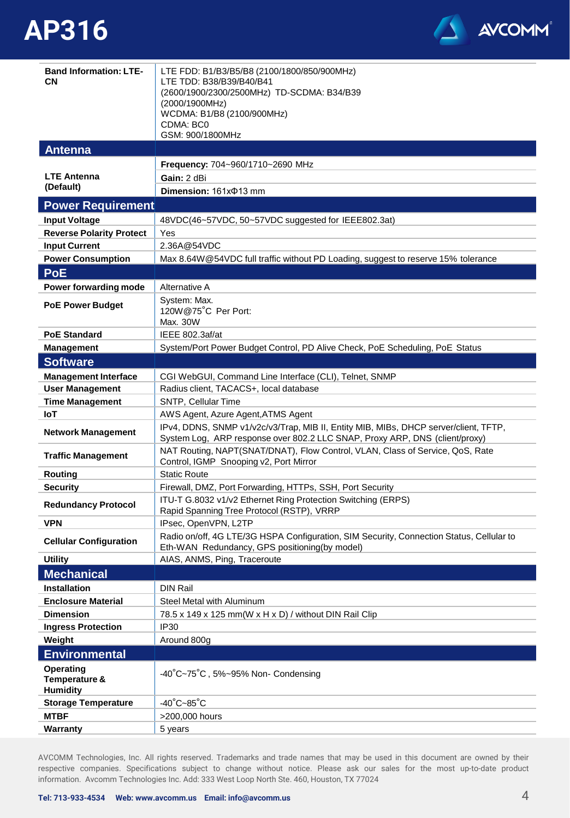

| <b>Band Information: LTE-</b><br>CN                  | LTE FDD: B1/B3/B5/B8 (2100/1800/850/900MHz)<br>LTE TDD: B38/B39/B40/B41<br>(2600/1900/2300/2500MHz) TD-SCDMA: B34/B39<br>(2000/1900MHz)<br>WCDMA: B1/B8 (2100/900MHz)<br>CDMA: BC0<br>GSM: 900/1800MHz |
|------------------------------------------------------|--------------------------------------------------------------------------------------------------------------------------------------------------------------------------------------------------------|
| <b>Antenna</b>                                       |                                                                                                                                                                                                        |
|                                                      | Frequency: 704~960/1710~2690 MHz                                                                                                                                                                       |
| <b>LTE Antenna</b>                                   | Gain: 2 dBi                                                                                                                                                                                            |
| (Default)                                            | Dimension: 161xΦ13 mm                                                                                                                                                                                  |
| <b>Power Requirement</b>                             |                                                                                                                                                                                                        |
| <b>Input Voltage</b>                                 | 48VDC(46~57VDC, 50~57VDC suggested for IEEE802.3at)                                                                                                                                                    |
| <b>Reverse Polarity Protect</b>                      | Yes                                                                                                                                                                                                    |
| <b>Input Current</b>                                 | 2.36A@54VDC                                                                                                                                                                                            |
| <b>Power Consumption</b>                             | Max 8.64W@54VDC full traffic without PD Loading, suggest to reserve 15% tolerance                                                                                                                      |
| <b>PoE</b>                                           |                                                                                                                                                                                                        |
| Power forwarding mode                                | Alternative A                                                                                                                                                                                          |
|                                                      | System: Max.                                                                                                                                                                                           |
| <b>PoE Power Budget</b>                              | 120W@75°C Per Port:                                                                                                                                                                                    |
|                                                      | Max. 30W                                                                                                                                                                                               |
| <b>PoE Standard</b>                                  | IEEE 802.3af/at                                                                                                                                                                                        |
| <b>Management</b>                                    | System/Port Power Budget Control, PD Alive Check, PoE Scheduling, PoE Status                                                                                                                           |
| <b>Software</b>                                      |                                                                                                                                                                                                        |
| <b>Management Interface</b>                          | CGI WebGUI, Command Line Interface (CLI), Telnet, SNMP                                                                                                                                                 |
| <b>User Management</b>                               | Radius client, TACACS+, local database                                                                                                                                                                 |
| <b>Time Management</b>                               | SNTP, Cellular Time                                                                                                                                                                                    |
| <b>IoT</b>                                           | AWS Agent, Azure Agent, ATMS Agent                                                                                                                                                                     |
| <b>Network Management</b>                            | IPv4, DDNS, SNMP v1/v2c/v3/Trap, MIB II, Entity MIB, MIBs, DHCP server/client, TFTP,<br>System Log, ARP response over 802.2 LLC SNAP, Proxy ARP, DNS (client/proxy)                                    |
| <b>Traffic Management</b>                            | NAT Routing, NAPT(SNAT/DNAT), Flow Control, VLAN, Class of Service, QoS, Rate<br>Control, IGMP Snooping v2, Port Mirror                                                                                |
| Routing                                              | <b>Static Route</b>                                                                                                                                                                                    |
| <b>Security</b>                                      | Firewall, DMZ, Port Forwarding, HTTPs, SSH, Port Security                                                                                                                                              |
| <b>Redundancy Protocol</b>                           | ITU-T G.8032 v1/v2 Ethernet Ring Protection Switching (ERPS)<br>Rapid Spanning Tree Protocol (RSTP), VRRP                                                                                              |
| <b>VPN</b>                                           | IPsec, OpenVPN, L2TP                                                                                                                                                                                   |
| <b>Cellular Configuration</b>                        | Radio on/off, 4G LTE/3G HSPA Configuration, SIM Security, Connection Status, Cellular to<br>Eth-WAN Redundancy, GPS positioning(by model)                                                              |
| <b>Utility</b>                                       | AIAS, ANMS, Ping, Traceroute                                                                                                                                                                           |
| <b>Mechanical</b>                                    |                                                                                                                                                                                                        |
| <b>Installation</b>                                  | <b>DIN Rail</b>                                                                                                                                                                                        |
| <b>Enclosure Material</b>                            | Steel Metal with Aluminum                                                                                                                                                                              |
| <b>Dimension</b>                                     | 78.5 x 149 x 125 mm(W x H x D) / without DIN Rail Clip                                                                                                                                                 |
| <b>Ingress Protection</b>                            | IP <sub>30</sub>                                                                                                                                                                                       |
| Weight                                               | Around 800g                                                                                                                                                                                            |
| <b>Environmental</b>                                 |                                                                                                                                                                                                        |
| <b>Operating</b><br>Temperature &<br><b>Humidity</b> | -40°C~75°C, 5%~95% Non- Condensing                                                                                                                                                                     |
| <b>Storage Temperature</b>                           | $-40^{\circ}$ C $-85^{\circ}$ C                                                                                                                                                                        |
| <b>MTBF</b>                                          | >200,000 hours                                                                                                                                                                                         |
| <b>Warranty</b>                                      | 5 years                                                                                                                                                                                                |